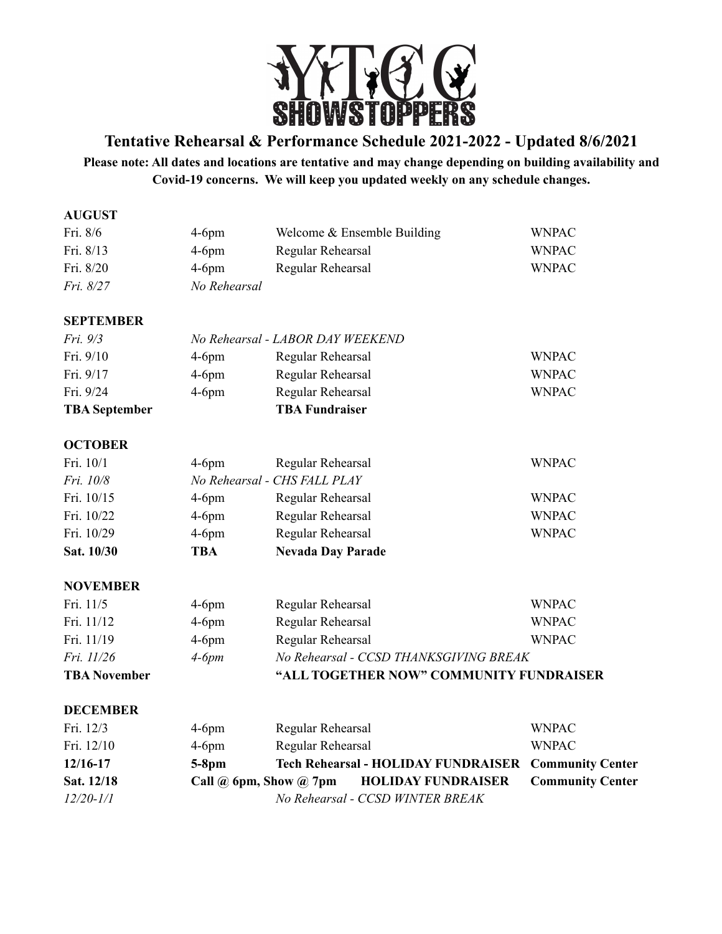

**Tentative Rehearsal & Performance Schedule 2021-2022 - Updated 8/6/2021**

**Please note: All dates and locations are tentative and may change depending on building availability and Covid-19 concerns. We will keep you updated weekly on any schedule changes.**

| <b>AUGUST</b>        |                                      |                                            |                         |  |
|----------------------|--------------------------------------|--------------------------------------------|-------------------------|--|
| Fri. 8/6             | $4-6$ pm                             | Welcome & Ensemble Building                | <b>WNPAC</b>            |  |
| Fri. 8/13            | $4-6$ pm                             | Regular Rehearsal                          | <b>WNPAC</b>            |  |
| Fri. 8/20            | $4-6$ pm                             | Regular Rehearsal                          | <b>WNPAC</b>            |  |
| Fri. 8/27            | No Rehearsal                         |                                            |                         |  |
| <b>SEPTEMBER</b>     |                                      |                                            |                         |  |
| Fri. 9/3             | No Rehearsal - LABOR DAY WEEKEND     |                                            |                         |  |
| Fri. 9/10            | $4-6$ pm                             | Regular Rehearsal                          | <b>WNPAC</b>            |  |
| Fri. 9/17            | $4-6$ pm                             | Regular Rehearsal                          | <b>WNPAC</b>            |  |
| Fri. 9/24            | $4-6$ pm                             | Regular Rehearsal                          | <b>WNPAC</b>            |  |
| <b>TBA</b> September |                                      | <b>TBA Fundraiser</b>                      |                         |  |
| <b>OCTOBER</b>       |                                      |                                            |                         |  |
| Fri. 10/1            | $4-6$ pm                             | Regular Rehearsal                          | <b>WNPAC</b>            |  |
| Fri. 10/8            | No Rehearsal - CHS FALL PLAY         |                                            |                         |  |
| Fri. 10/15           | $4-6$ pm                             | Regular Rehearsal                          | <b>WNPAC</b>            |  |
| Fri. 10/22           | $4-6$ pm                             | Regular Rehearsal                          | <b>WNPAC</b>            |  |
| Fri. 10/29           | $4-6$ pm                             | Regular Rehearsal                          | <b>WNPAC</b>            |  |
| Sat. 10/30           | <b>TBA</b>                           | <b>Nevada Day Parade</b>                   |                         |  |
| <b>NOVEMBER</b>      |                                      |                                            |                         |  |
| Fri. 11/5            | $4-6$ pm                             | Regular Rehearsal                          | <b>WNPAC</b>            |  |
| Fri. 11/12           | $4-6$ pm                             | Regular Rehearsal                          | <b>WNPAC</b>            |  |
| Fri. 11/19           | $4-6$ pm                             | Regular Rehearsal                          | <b>WNPAC</b>            |  |
| Fri. 11/26           | $4-6pm$                              | No Rehearsal - CCSD THANKSGIVING BREAK     |                         |  |
| <b>TBA November</b>  |                                      | "ALL TOGETHER NOW" COMMUNITY FUNDRAISER    |                         |  |
| <b>DECEMBER</b>      |                                      |                                            |                         |  |
| Fri. 12/3            | $4-6$ pm                             | Regular Rehearsal                          | <b>WNPAC</b>            |  |
| Fri. 12/10           | $4-6$ pm                             | Regular Rehearsal                          | <b>WNPAC</b>            |  |
| 12/16-17             | $5-8$ pm                             | <b>Tech Rehearsal - HOLIDAY FUNDRAISER</b> | <b>Community Center</b> |  |
| Sat. 12/18           | Call $\omega$ 6pm, Show $\omega$ 7pm | <b>HOLIDAY FUNDRAISER</b>                  | <b>Community Center</b> |  |
| $12/20 - 1/1$        |                                      | No Rehearsal - CCSD WINTER BREAK           |                         |  |